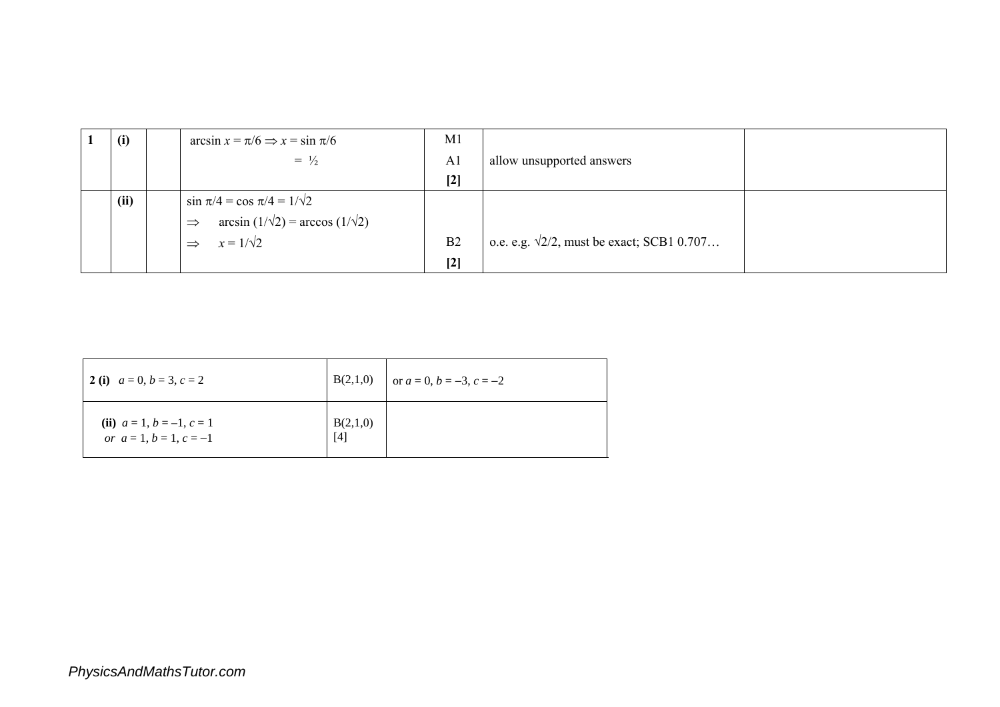| (i)  | $\arcsin x = \pi/6 \Rightarrow x = \sin \pi/6$             | M1             |                                                    |
|------|------------------------------------------------------------|----------------|----------------------------------------------------|
|      | $= \frac{1}{2}$                                            | A <sub>1</sub> | allow unsupported answers                          |
|      |                                                            | $[2]$          |                                                    |
| (ii) | $\sin \pi/4 = \cos \pi/4 = 1/\sqrt{2}$                     |                |                                                    |
|      | $arcsin(1/\sqrt{2}) = arccos(1/\sqrt{2})$<br>$\Rightarrow$ |                |                                                    |
|      | $x = 1/\sqrt{2}$<br>$\Rightarrow$                          | B <sub>2</sub> | o.e. e.g. $\sqrt{2}/2$ , must be exact; SCB1 0.707 |
|      |                                                            | $[2]$          |                                                    |

| 2 (i) $a = 0, b = 3, c = 2$                              |                   | $B(2,1,0)$ or $a = 0, b = -3, c = -2$ |
|----------------------------------------------------------|-------------------|---------------------------------------|
| (ii) $a = 1, b = -1, c = 1$<br>or $a = 1, b = 1, c = -1$ | B(2,1,0)<br>$[4]$ |                                       |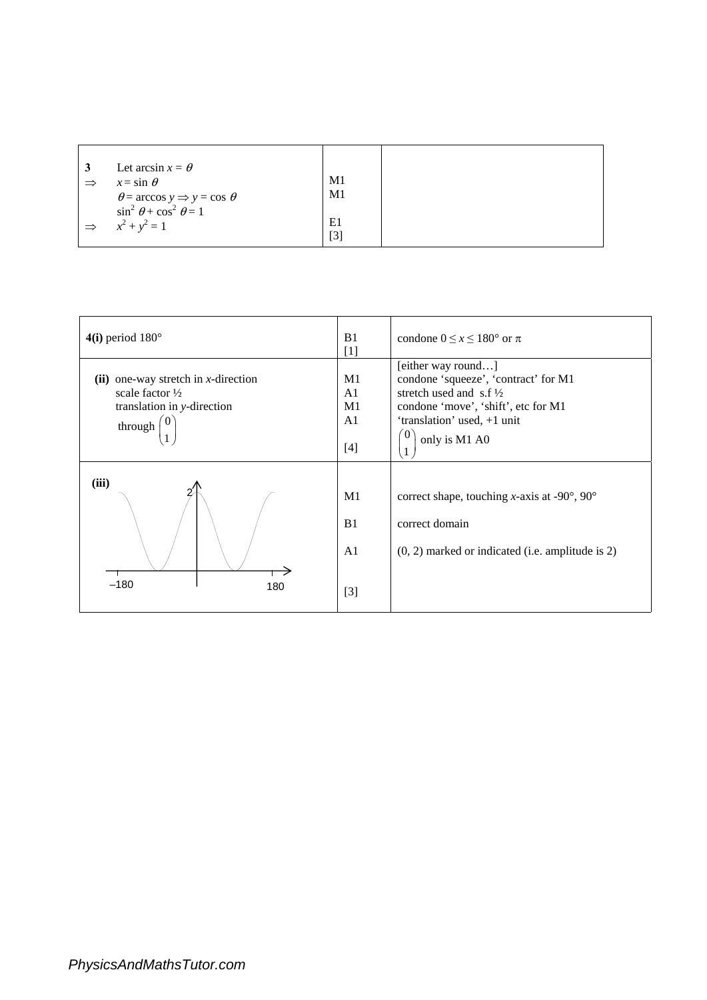| 3             | Let arcsin $x = \theta$                            |     |
|---------------|----------------------------------------------------|-----|
| $\Rightarrow$ | $x = \sin \theta$                                  | M1  |
|               | $\theta$ = arccos y $\Rightarrow$ y = cos $\theta$ | M1  |
|               | $\sin^2 \theta + \cos^2 \theta = 1$                |     |
| $\Rightarrow$ | $x^2 + y^2 = 1$                                    | E1  |
|               |                                                    | [3] |

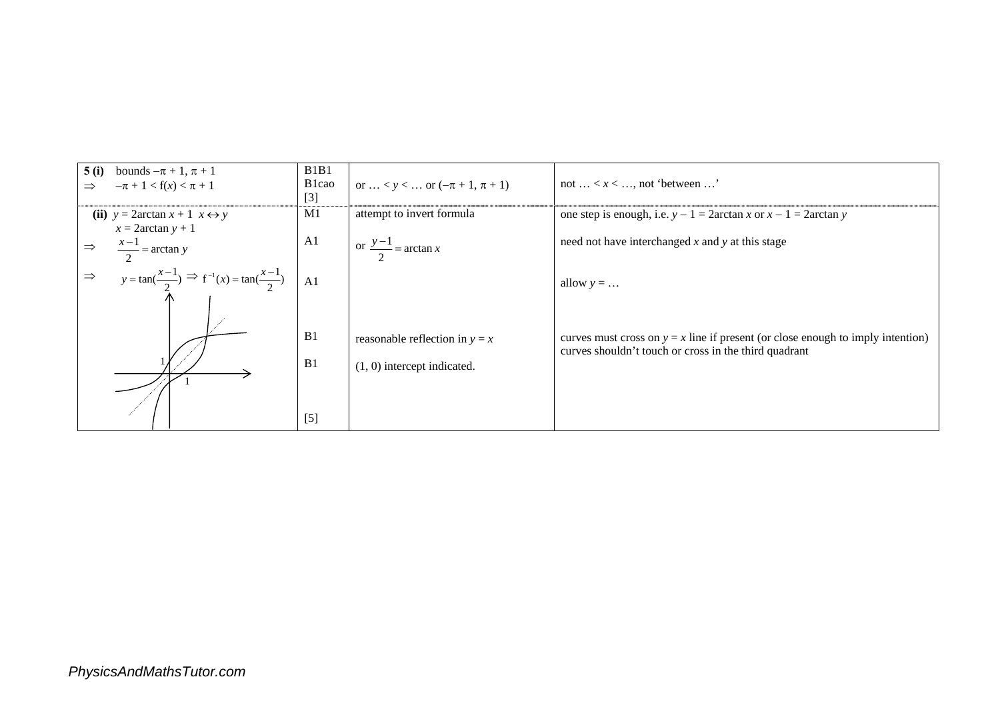| 5(i)<br>bounds $-\pi + 1$ , $\pi + 1$<br>$-\pi + 1 < f(x) < \pi + 1$                | B1B1<br>B <sub>1</sub> cao<br>$[3]$ | or $< y < \ldots$ or $(-\pi + 1, \pi + 1)$ | not $\ldots < x < \ldots$ not 'between $\ldots$ '                                                                                          |
|-------------------------------------------------------------------------------------|-------------------------------------|--------------------------------------------|--------------------------------------------------------------------------------------------------------------------------------------------|
| (ii) $y = 2 \arctan x + 1$ $x \leftrightarrow y$<br>$x = 2 \arctan y + 1$           | M1                                  | attempt to invert formula                  | one step is enough, i.e. $y - 1 = 2 \arctan x$ or $x - 1 = 2 \arctan y$                                                                    |
| $\frac{x-1}{2} = \arctan y$                                                         | A1                                  | or $\frac{y-1}{2}$ = arctan x              | need not have interchanged $x$ and $y$ at this stage                                                                                       |
| $y = \tan(\frac{x-1}{2}) \implies f^{-1}(x) = \tan(\frac{x-1}{2})$<br>$\Rightarrow$ | A <sub>1</sub>                      |                                            | allow $y = $                                                                                                                               |
|                                                                                     |                                     |                                            |                                                                                                                                            |
|                                                                                     | B1                                  | reasonable reflection in $y = x$           | curves must cross on $y = x$ line if present (or close enough to imply intention)<br>curves shouldn't touch or cross in the third quadrant |
|                                                                                     | B1                                  | $(1, 0)$ intercept indicated.              |                                                                                                                                            |
|                                                                                     |                                     |                                            |                                                                                                                                            |
|                                                                                     | $[5]$                               |                                            |                                                                                                                                            |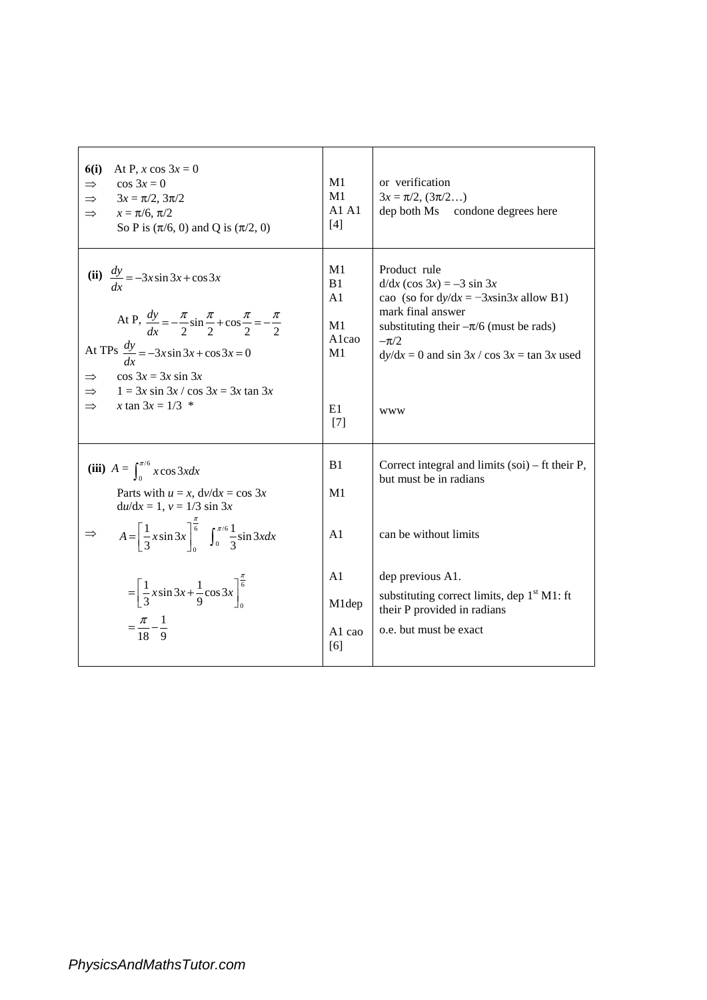| 6(i)<br>At P, x cos $3x = 0$<br>$\cos 3x = 0$<br>$\Rightarrow$<br>$3x = \pi/2$ , $3\pi/2$<br>$\Rightarrow$<br>$x = \pi/6, \pi/2$<br>$\Rightarrow$<br>So P is $(\pi/6, 0)$ and Q is $(\pi/2, 0)$                                                                                                  | M1<br>M1<br>A1A1<br>[4]                                        | or verification<br>$3x = \pi/2$ , $(3\pi/2)$<br>dep both Ms condone degrees here                                                                                                                                                             |
|--------------------------------------------------------------------------------------------------------------------------------------------------------------------------------------------------------------------------------------------------------------------------------------------------|----------------------------------------------------------------|----------------------------------------------------------------------------------------------------------------------------------------------------------------------------------------------------------------------------------------------|
| (ii) $\frac{dy}{dx} = -3x \sin 3x + \cos 3x$<br>At P, $\frac{dy}{dr} = -\frac{\pi}{2} \sin \frac{\pi}{2} + \cos \frac{\pi}{2} = -\frac{\pi}{2}$<br>At TPs $\frac{dy}{dx} = -3x \sin 3x + \cos 3x = 0$<br>$\cos 3x = 3x \sin 3x$<br>$1 = 3x \sin 3x / \cos 3x = 3x \tan 3x$<br>x tan $3x = 1/3$ * | M1<br>B1<br>A1<br>M1<br>Alcao<br>M <sub>1</sub><br>E1<br>$[7]$ | Product rule<br>$d/dx$ (cos 3x) = -3 sin 3x<br>cao (so for $dy/dx = -3x\sin 3x$ allow B1)<br>mark final answer<br>substituting their $-\pi/6$ (must be rads)<br>$-\pi/2$<br>$dy/dx = 0$ and $\sin 3x / \cos 3x = \tan 3x$ used<br><b>WWW</b> |
| (iii) $A = \int_{0}^{\pi/6} x \cos 3x dx$<br>Parts with $u = x$ , $dv/dx = \cos 3x$<br>$du/dx = 1, v = 1/3 \sin 3x$<br>$A = \left[\frac{1}{3}x\sin 3x\right]_0^{\frac{\pi}{6}} \int_0^{\pi/6} \frac{1}{3}\sin 3x dx$                                                                             | B1<br>M <sub>1</sub><br>A <sub>1</sub>                         | Correct integral and limits $(soi)$ – ft their P,<br>but must be in radians<br>can be without limits                                                                                                                                         |
| $=\left[\frac{1}{3}x\sin 3x + \frac{1}{9}\cos 3x\right]_0^{\frac{\pi}{6}}$<br>$=\frac{\pi}{18}-\frac{1}{9}$                                                                                                                                                                                      | A <sub>1</sub><br>M1dep<br>A1 cao<br>[6]                       | dep previous A1.<br>substituting correct limits, dep $1st M1$ : ft<br>their P provided in radians<br>o.e. but must be exact                                                                                                                  |